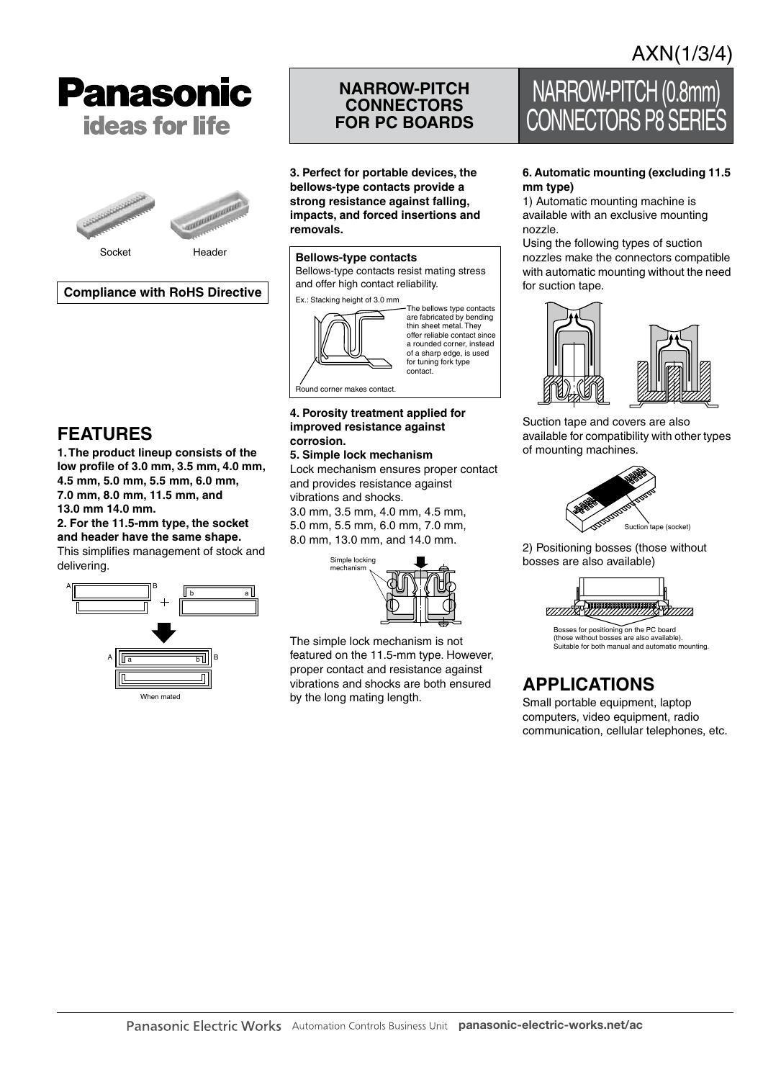# **Panasonic ideas for life**



### **Compliance with RoHS Directive**

### **FEATURES**

**1. The product lineup consists of the low profile of 3.0 mm, 3.5 mm, 4.0 mm, 4.5 mm, 5.0 mm, 5.5 mm, 6.0 mm, 7.0 mm, 8.0 mm, 11.5 mm, and 13.0 mm 14.0 mm.**

**2. For the 11.5-mm type, the socket and header have the same shape.** This simplifies management of stock and



### **NARROW-PITCH CONNECTORS FOR PC BOARDS**

**3. Perfect for portable devices, the bellows-type contacts provide a strong resistance against falling, impacts, and forced insertions and removals.**

#### **Bellows-type contacts**

Bellows-type contacts resist mating stress and offer high contact reliability.

Ex.: Stacking height of 3.0 mm



#### **4. Porosity treatment applied for improved resistance against corrosion.**

#### **5. Simple lock mechanism**

Lock mechanism ensures proper contact and provides resistance against vibrations and shocks.

3.0 mm, 3.5 mm, 4.0 mm, 4.5 mm, 5.0 mm, 5.5 mm, 6.0 mm, 7.0 mm, 8.0 mm, 13.0 mm, and 14.0 mm.



The simple lock mechanism is not featured on the 11.5-mm type. However, proper contact and resistance against vibrations and shocks are both ensured by the long mating length.

# NARROW-PITCH (0.8mm) CONNECTORS P8 SERIE

#### **6. Automatic mounting (excluding 11.5 mm type)**

1) Automatic mounting machine is available with an exclusive mounting nozzle.

Using the following types of suction nozzles make the connectors compatible with automatic mounting without the need for suction tape.



Suction tape and covers are also available for compatibility with other types of mounting machines.



2) Positioning bosses (those without bosses are also available)



(those without bosses are also available). Suitable for both manual and automatic mounting.

## **APPLICATIONS**

Small portable equipment, laptop computers, video equipment, radio communication, cellular telephones, etc.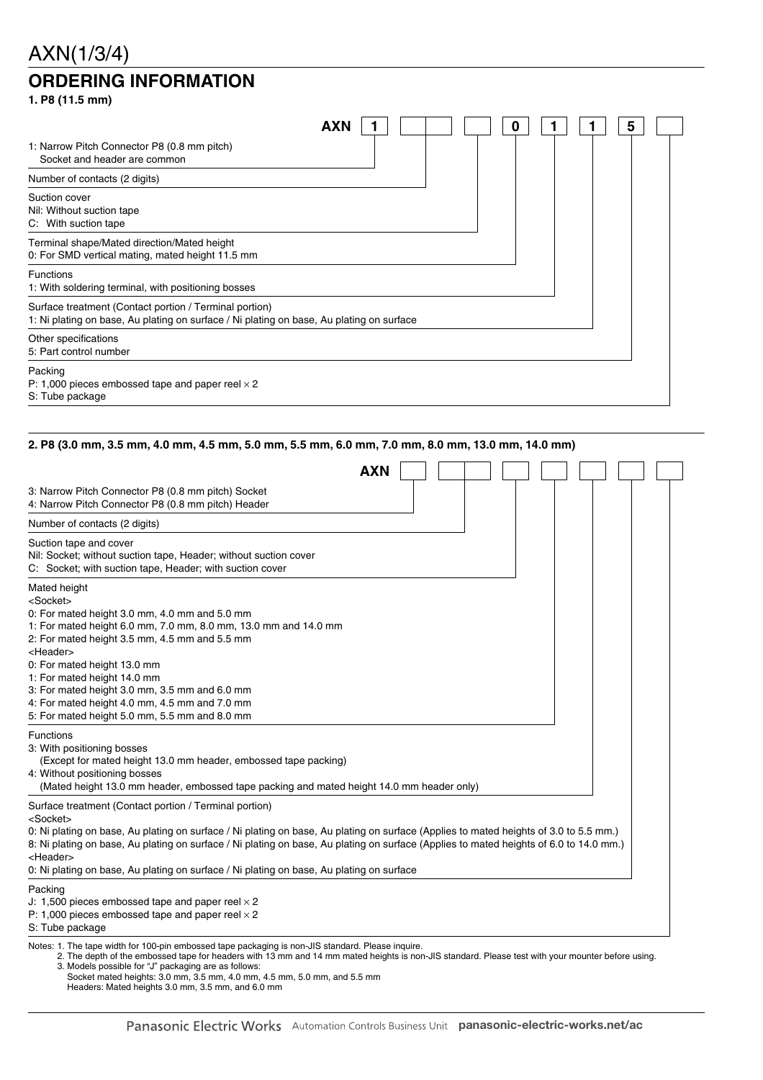## AXN(1/3/4) **ORDERING INFORMATION**

| 1. P8 (11.5 mm)                                                                                                                                    |        |
|----------------------------------------------------------------------------------------------------------------------------------------------------|--------|
| <b>AXN</b>                                                                                                                                         | 5<br>0 |
| 1: Narrow Pitch Connector P8 (0.8 mm pitch)<br>Socket and header are common                                                                        |        |
| Number of contacts (2 digits)                                                                                                                      |        |
| Suction cover<br>Nil: Without suction tape<br>C: With suction tape                                                                                 |        |
| Terminal shape/Mated direction/Mated height<br>0: For SMD vertical mating, mated height 11.5 mm                                                    |        |
| <b>Functions</b><br>1: With soldering terminal, with positioning bosses                                                                            |        |
| Surface treatment (Contact portion / Terminal portion)<br>1: Ni plating on base, Au plating on surface / Ni plating on base, Au plating on surface |        |
| Other specifications<br>5: Part control number                                                                                                     |        |
| Packing<br>P: 1,000 pieces embossed tape and paper reel $\times$ 2<br>S: Tube package                                                              |        |

#### **2. P8 (3.0 mm, 3.5 mm, 4.0 mm, 4.5 mm, 5.0 mm, 5.5 mm, 6.0 mm, 7.0 mm, 8.0 mm, 13.0 mm, 14.0 mm)**

|                                                                                                                                                                                                                                                                                                                                                                                                                                                                                     | <b>AXN</b> |
|-------------------------------------------------------------------------------------------------------------------------------------------------------------------------------------------------------------------------------------------------------------------------------------------------------------------------------------------------------------------------------------------------------------------------------------------------------------------------------------|------------|
| 3: Narrow Pitch Connector P8 (0.8 mm pitch) Socket<br>4: Narrow Pitch Connector P8 (0.8 mm pitch) Header                                                                                                                                                                                                                                                                                                                                                                            |            |
| Number of contacts (2 digits)                                                                                                                                                                                                                                                                                                                                                                                                                                                       |            |
| Suction tape and cover<br>Nil: Socket; without suction tape, Header; without suction cover<br>C: Socket; with suction tape, Header; with suction cover                                                                                                                                                                                                                                                                                                                              |            |
| Mated height<br><socket><br/>0: For mated height 3.0 mm, 4.0 mm and 5.0 mm<br/>1: For mated height 6.0 mm, 7.0 mm, 8.0 mm, 13.0 mm and 14.0 mm<br/>2: For mated height 3.5 mm, 4.5 mm and 5.5 mm<br/><header><br/>0: For mated height 13.0 mm<br/>1: For mated height 14.0 mm<br/>3: For mated height 3.0 mm, 3.5 mm and 6.0 mm<br/>4: For mated height 4.0 mm, 4.5 mm and 7.0 mm<br/>5: For mated height 5.0 mm, 5.5 mm and 8.0 mm</header></socket>                               |            |
| Functions<br>3: With positioning bosses<br>(Except for mated height 13.0 mm header, embossed tape packing)<br>4: Without positioning bosses<br>(Mated height 13.0 mm header, embossed tape packing and mated height 14.0 mm header only)                                                                                                                                                                                                                                            |            |
| Surface treatment (Contact portion / Terminal portion)<br><socket><br/>0: Ni plating on base, Au plating on surface / Ni plating on base, Au plating on surface (Applies to mated heights of 3.0 to 5.5 mm.)<br/>8: Ni plating on base, Au plating on surface / Ni plating on base, Au plating on surface (Applies to mated heights of 6.0 to 14.0 mm.)<br/><header><br/>0: Ni plating on base, Au plating on surface / Ni plating on base, Au plating on surface</header></socket> |            |
| Packing<br>J: 1,500 pieces embossed tape and paper reel $\times$ 2<br>P: 1,000 pieces embossed tape and paper reel $\times$ 2<br>S: Tube package                                                                                                                                                                                                                                                                                                                                    |            |
| Notes: 1. The tape width for 100-pin embossed tape packaging is non-JIS standard. Please inquire.<br>2. The depth of the embossed tape for headers with 13 mm and 14 mm mated heights is non-JIS standard. Please test with your mounter before using.                                                                                                                                                                                                                              |            |

3. Models possible for "J" packaging are as follows: Socket mated heights: 3.0 mm, 3.5 mm, 4.0 mm, 4.5 mm, 5.0 mm, and 5.5 mm Headers: Mated heights 3.0 mm, 3.5 mm, and 6.0 mm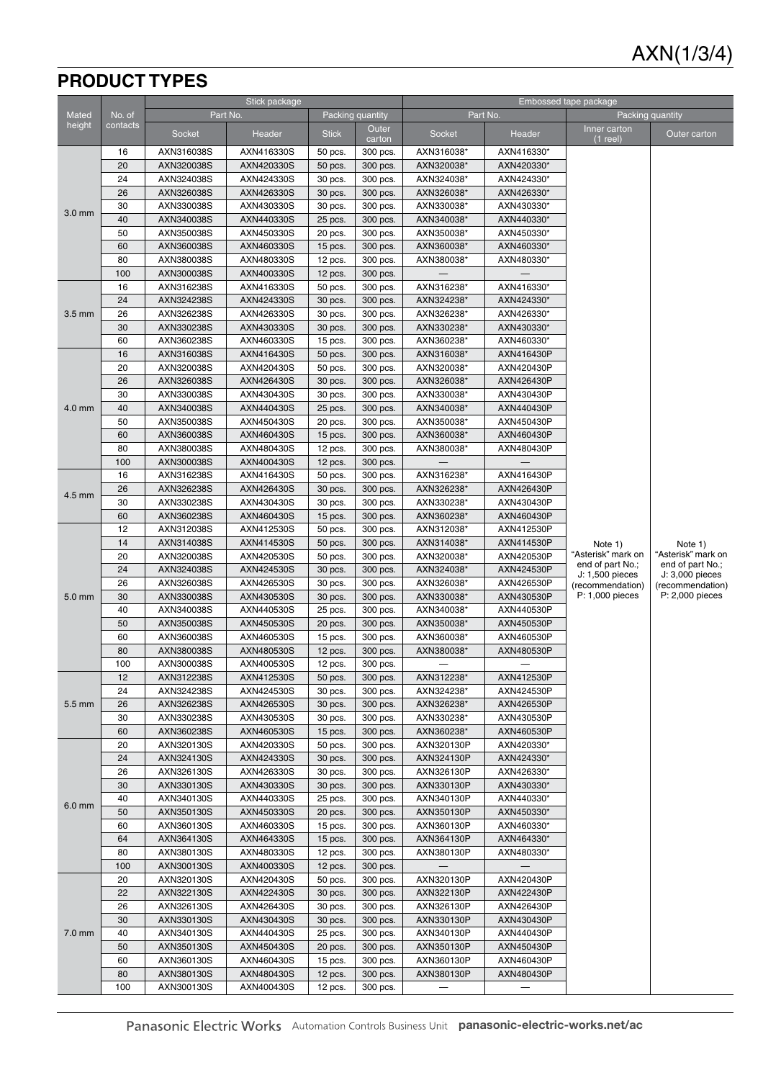## **PRODUCT TYPES**

|                   |           |                          | Stick package            |                      |                      | Embossed tape package    |                          |                                     |                                     |
|-------------------|-----------|--------------------------|--------------------------|----------------------|----------------------|--------------------------|--------------------------|-------------------------------------|-------------------------------------|
| <b>Mated</b>      | No. of    |                          | Part No.                 |                      | Packing quantity     |                          | Part No.                 |                                     | Packing quantity                    |
| height            | contacts  | Socket                   | Header                   | <b>Stick</b>         | Outer<br>carton      | Socket                   | Header                   | Inner carton<br>$(1$ reel)          | Outer carton                        |
|                   | 16        | AXN316038S               | AXN416330S               | 50 pcs.              | 300 pcs.             | AXN316038*               | AXN416330*               |                                     |                                     |
|                   | 20        | AXN320038S               | AXN420330S               | 50 pcs.              | 300 pcs.             | AXN320038*               | AXN420330*               |                                     |                                     |
|                   | 24        | AXN324038S               | AXN424330S               | 30 pcs.              | 300 pcs.             | AXN324038*               | AXN424330*               |                                     |                                     |
|                   | 26        | AXN326038S               | AXN426330S               | 30 pcs.              | 300 pcs.             | AXN326038*               | AXN426330*               |                                     |                                     |
|                   | 30        | AXN330038S               | AXN430330S               | 30 pcs.              | 300 pcs.             | AXN330038*               | AXN430330*               |                                     |                                     |
| 3.0 <sub>mm</sub> | 40        | AXN340038S               | AXN440330S               | 25 pcs.              | 300 pcs.             | AXN340038*               | AXN440330*               |                                     |                                     |
|                   | 50        | AXN350038S               | AXN450330S               | 20 pcs.              | 300 pcs.             | AXN350038*               | AXN450330*               |                                     |                                     |
|                   | 60        | AXN360038S               | AXN460330S               | 15 pcs.              | 300 pcs.             | AXN360038*               | AXN460330*               |                                     |                                     |
|                   | 80        | AXN380038S               | AXN480330S               | 12 pcs.              | 300 pcs.             | AXN380038*               | AXN480330*               |                                     |                                     |
|                   | 100       | AXN300038S               | AXN400330S               | $12$ pcs.            | 300 pcs.             |                          |                          |                                     |                                     |
|                   | 16        | AXN316238S               | AXN416330S               | 50 pcs.              | 300 pcs.             | AXN316238*               | AXN416330*               |                                     |                                     |
|                   | 24        | AXN324238S               | AXN424330S               | 30 pcs.              | 300 pcs.             | AXN324238*               | AXN424330*               |                                     |                                     |
| $3.5 \text{ mm}$  | 26        | AXN326238S               | AXN426330S               | 30 pcs.              | 300 pcs.             | AXN326238*               | AXN426330*               |                                     |                                     |
|                   | 30        | AXN330238S               | AXN430330S               | 30 pcs.              | 300 pcs.             | AXN330238*               | AXN430330*               |                                     |                                     |
|                   | 60        | AXN360238S               | AXN460330S               | $15$ pcs.            | 300 pcs.             | AXN360238*               | AXN460330*               |                                     |                                     |
|                   | 16        | AXN316038S               | AXN416430S               | 50 pcs.              | 300 pcs.             | AXN316038*               | AXN416430P               |                                     |                                     |
|                   | 20        | AXN320038S               | AXN420430S               | 50 pcs.              | 300 pcs.             | AXN320038*               | AXN420430P               |                                     |                                     |
|                   | 26        | AXN326038S               | AXN426430S               | 30 pcs.              | 300 pcs.             | AXN326038*               | AXN426430P               |                                     |                                     |
|                   | 30        | AXN330038S               | AXN430430S               | 30 pcs.              | 300 pcs.             | AXN330038*               | AXN430430P               |                                     |                                     |
| 4.0 mm            | 40        | AXN340038S               | AXN440430S               | 25 pcs.              | 300 pcs.             | AXN340038*               | AXN440430P               |                                     |                                     |
|                   | 50        | AXN350038S               | AXN450430S               | 20 pcs.              | 300 pcs.             | AXN350038*               | AXN450430P               |                                     |                                     |
|                   | 60        | AXN360038S               | AXN460430S               | 15 pcs.              | 300 pcs.             | AXN360038*               | AXN460430P               |                                     |                                     |
|                   | 80        | AXN380038S               | AXN480430S               | 12 pcs.              | 300 pcs.             | AXN380038*               | AXN480430P               |                                     |                                     |
|                   | 100       | AXN300038S               | AXN400430S               | $12$ pcs.            | 300 pcs.             |                          |                          |                                     |                                     |
|                   | 16        | AXN316238S               | AXN416430S               | 50 pcs.              | 300 pcs.             | AXN316238*               | AXN416430P               |                                     |                                     |
| $4.5 \text{ mm}$  | 26        | AXN326238S               | AXN426430S               | 30 pcs.              | 300 pcs.             | AXN326238*               | AXN426430P               |                                     |                                     |
|                   | 30<br>60  | AXN330238S<br>AXN360238S | AXN430430S               | 30 pcs.              | 300 pcs.<br>300 pcs. | AXN330238*               | AXN430430P               |                                     |                                     |
|                   | 12        | AXN312038S               | AXN460430S<br>AXN412530S | 15 pcs.<br>50 pcs.   | 300 pcs.             | AXN360238*<br>AXN312038* | AXN460430P<br>AXN412530P |                                     |                                     |
|                   | 14        | AXN314038S               | AXN414530S               | 50 pcs.              | 300 pcs.             | AXN314038*               | AXN414530P               | Note 1)                             | Note 1)                             |
|                   | 20        | AXN320038S               | AXN420530S               | 50 pcs.              | 300 pcs.             | AXN320038*               | AXN420530P               | "Asterisk" mark on                  | "Asterisk" mark on                  |
|                   | 24        | AXN324038S               | AXN424530S               | 30 pcs.              | 300 pcs.             | AXN324038*               | AXN424530P               | end of part No.;                    | end of part No.;                    |
|                   | 26        | AXN326038S               | AXN426530S               | 30 pcs.              | 300 pcs.             | AXN326038*               | AXN426530P               | J: 1,500 pieces<br>(recommendation) | J: 3,000 pieces<br>(recommendation) |
| 5.0 mm            | 30        | AXN330038S               | AXN430530S               | 30 pcs.              | 300 pcs.             | AXN330038*               | AXN430530P               | P: 1,000 pieces                     | $P: 2,000$ pieces                   |
|                   | 40        | AXN340038S               | AXN440530S               | 25 pcs.              | 300 pcs.             | AXN340038*               | AXN440530P               |                                     |                                     |
|                   | 50        | AXN350038S               | AXN450530S               | 20 pcs.              | 300 pcs.             | AXN350038*               | AXN450530P               |                                     |                                     |
|                   | 60        | AXN360038S               | AXN460530S               | $15$ pcs.            | 300 pcs.             | AXN360038*               | AXN460530P               |                                     |                                     |
|                   | 80        | AXN380038S               | AXN480530S               | 12 pcs.              | 300 pcs.             | AXN380038*               | AXN480530P               |                                     |                                     |
|                   | 100       | AXN300038S               | AXN400530S               | $12$ pcs.            | 300 pcs.             |                          |                          |                                     |                                     |
|                   | 12        | AXN312238S               | AXN412530S               | 50 pcs.              | 300 pcs.             | AXN312238*               | AXN412530P               |                                     |                                     |
|                   | 24        | AXN324238S               | AXN424530S               | 30 pcs.              | 300 pcs.             | AXN324238*               | AXN424530P               |                                     |                                     |
| 5.5 mm            | 26        | AXN326238S               | AXN426530S               | 30 pcs.              | 300 pcs.             | AXN326238*               | AXN426530P               |                                     |                                     |
|                   | 30        | AXN330238S               | AXN430530S               | 30 pcs.              | 300 pcs.             | AXN330238*               | AXN430530P               |                                     |                                     |
|                   | 60        | AXN360238S               | AXN460530S               | 15 pcs.              | 300 pcs.             | AXN360238*               | AXN460530P               |                                     |                                     |
|                   | 20        | AXN320130S               | AXN420330S               | 50 pcs.              | 300 pcs.             | AXN320130P               | AXN420330*               |                                     |                                     |
|                   | 24        | AXN324130S               | AXN424330S               | 30 pcs.              | 300 pcs.             | AXN324130P               | AXN424330*               |                                     |                                     |
|                   | 26        | AXN326130S               | AXN426330S               | 30 pcs.              | 300 pcs.             | AXN326130P               | AXN426330*               |                                     |                                     |
|                   | 30        | AXN330130S               | AXN430330S               | 30 pcs.              | 300 pcs.             | AXN330130P               | AXN430330*               |                                     |                                     |
| $6.0 \text{ mm}$  | 40        | AXN340130S               | AXN440330S               | 25 pcs.              | 300 pcs.             | AXN340130P               | AXN440330*               |                                     |                                     |
|                   | 50        | AXN350130S               | AXN450330S               | 20 pcs.              | 300 pcs.             | AXN350130P               | AXN450330*               |                                     |                                     |
|                   | 60        | AXN360130S               | AXN460330S               | 15 pcs.              | 300 pcs.             | AXN360130P               | AXN460330*               |                                     |                                     |
|                   | 64        | AXN364130S               | AXN464330S               | 15 pcs.              | 300 pcs.             | AXN364130P               | AXN464330*               |                                     |                                     |
|                   | 80<br>100 | AXN380130S               | AXN480330S<br>AXN400330S | 12 pcs.              | 300 pcs.             | AXN380130P               | AXN480330*               |                                     |                                     |
|                   | 20        | AXN300130S<br>AXN320130S | AXN420430S               | $12$ pcs.<br>50 pcs. | 300 pcs.<br>300 pcs. | AXN320130P               | AXN420430P               |                                     |                                     |
|                   | 22        | AXN322130S               | AXN422430S               | 30 pcs.              | 300 pcs.             | AXN322130P               | AXN422430P               |                                     |                                     |
|                   | 26        | AXN326130S               | AXN426430S               | 30 pcs.              | 300 pcs.             | AXN326130P               | AXN426430P               |                                     |                                     |
|                   | 30        | AXN330130S               | AXN430430S               | 30 pcs.              | 300 pcs.             | AXN330130P               | AXN430430P               |                                     |                                     |
| 7.0 mm            | 40        | AXN340130S               | AXN440430S               | 25 pcs.              | 300 pcs.             | AXN340130P               | AXN440430P               |                                     |                                     |
|                   | 50        | AXN350130S               | AXN450430S               | 20 pcs.              | 300 pcs.             | AXN350130P               | AXN450430P               |                                     |                                     |
|                   | 60        | AXN360130S               | AXN460430S               | 15 pcs.              | 300 pcs.             | AXN360130P               | AXN460430P               |                                     |                                     |
|                   | 80        | AXN380130S               | AXN480430S               | 12 pcs.              | 300 pcs.             | AXN380130P               | AXN480430P               |                                     |                                     |
|                   | 100       | AXN300130S               | AXN400430S               | 12 pcs.              | 300 pcs.             |                          |                          |                                     |                                     |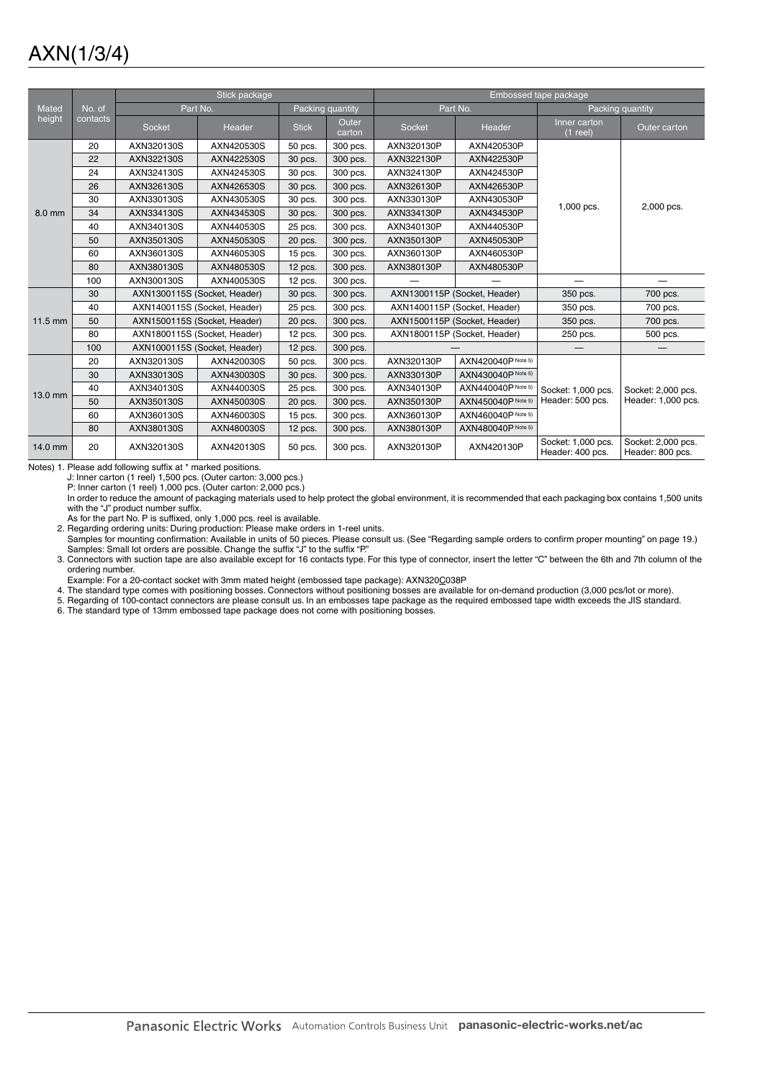|         |          |                              | Stick package |              |                  | Embossed tape package |                              |                                        |                                        |
|---------|----------|------------------------------|---------------|--------------|------------------|-----------------------|------------------------------|----------------------------------------|----------------------------------------|
| Mated   | No. of   | Part No.                     |               |              | Packing quantity |                       | Part No.                     |                                        | Packing quantity                       |
| height  | contacts | Socket                       | Header        | <b>Stick</b> | Outer<br>carton  | <b>Socket</b>         | Header                       | Inner carton<br>$(1$ reel)             | Outer carton                           |
|         | 20       | AXN320130S                   | AXN420530S    | 50 pcs.      | 300 pcs.         | AXN320130P            | AXN420530P                   |                                        |                                        |
|         | 22       | AXN322130S                   | AXN422530S    | 30 pcs.      | 300 pcs.         | AXN322130P            | AXN422530P                   |                                        |                                        |
|         | 24       | AXN324130S                   | AXN424530S    | 30 pcs.      | 300 pcs.         | AXN324130P            | AXN424530P                   |                                        |                                        |
|         | 26       | AXN326130S                   | AXN426530S    | 30 pcs.      | 300 pcs.         | AXN326130P            | AXN426530P                   |                                        |                                        |
|         | 30       | AXN330130S                   | AXN430530S    | 30 pcs.      | 300 pcs.         | AXN330130P            | AXN430530P                   | 1,000 pcs.                             | 2,000 pcs.                             |
| 8.0 mm  | 34       | AXN334130S                   | AXN434530S    | 30 pcs.      | 300 pcs.         | AXN334130P            | AXN434530P                   |                                        |                                        |
|         | 40       | AXN340130S                   | AXN440530S    | 25 pcs.      | 300 pcs.         | AXN340130P            | AXN440530P                   |                                        |                                        |
|         | 50       | AXN350130S                   | AXN450530S    | 20 pcs.      | 300 pcs.         | AXN350130P            | AXN450530P                   |                                        |                                        |
|         | 60       | AXN360130S                   | AXN460530S    | 15 pcs.      | 300 pcs.         | AXN360130P            | AXN460530P                   |                                        |                                        |
|         | 80       | AXN380130S                   | AXN480530S    | 12 pcs.      | 300 pcs.         | AXN380130P            | AXN480530P                   |                                        |                                        |
|         | 100      | AXN300130S                   | AXN400530S    | 12 pcs.      | 300 pcs.         |                       |                              |                                        |                                        |
|         | 30       | AXN1300115S (Socket, Header) |               | 30 pcs.      | 300 pcs.         |                       | AXN1300115P (Socket, Header) | 350 pcs.                               | 700 pcs.                               |
|         | 40       | AXN1400115S (Socket, Header) |               | 25 pcs.      | 300 pcs.         |                       | AXN1400115P (Socket, Header) | 350 pcs.                               | 700 pcs.                               |
| 11.5 mm | 50       | AXN1500115S (Socket, Header) |               | 20 pcs.      | 300 pcs.         |                       | AXN1500115P (Socket, Header) | 350 pcs.                               | 700 pcs.                               |
|         | 80       | AXN1800115S (Socket, Header) |               | 12 pcs.      | 300 pcs.         |                       | AXN1800115P (Socket, Header) | 250 pcs.                               | 500 pcs.                               |
|         | 100      | AXN1000115S (Socket, Header) |               | $12$ pcs.    | 300 pcs.         |                       |                              |                                        |                                        |
|         | 20       | AXN320130S                   | AXN420030S    | 50 pcs.      | 300 pcs.         | AXN320130P            | AXN420040P Note 5)           |                                        |                                        |
|         | 30       | AXN330130S                   | AXN430030S    | 30 pcs.      | 300 pcs.         | AXN330130P            | AXN430040P Note 5)           |                                        |                                        |
| 13.0 mm | 40       | AXN340130S                   | AXN440030S    | 25 pcs.      | 300 pcs.         | AXN340130P            | AXN440040P Note 5)           | Socket: 1,000 pcs.                     | Socket: 2,000 pcs.                     |
|         | 50       | AXN350130S                   | AXN450030S    | 20 pcs.      | 300 pcs.         | AXN350130P            | AXN450040P Note 5)           | Header: 500 pcs.                       | Header: 1,000 pcs.                     |
|         | 60       | AXN360130S                   | AXN460030S    | $15$ pcs.    | 300 pcs.         | AXN360130P            | AXN460040P Note 5)           |                                        |                                        |
|         | 80       | AXN380130S                   | AXN480030S    | $12$ pcs.    | 300 pcs.         | AXN380130P            | AXN480040P Note 5)           |                                        |                                        |
| 14.0 mm | 20       | AXN320130S                   | AXN420130S    | 50 pcs.      | 300 pcs.         | AXN320130P            | AXN420130P                   | Socket: 1,000 pcs.<br>Header: 400 pcs. | Socket: 2,000 pcs.<br>Header: 800 pcs. |

Notes) 1. Please add following suffix at \* marked positions.

J: Inner carton (1 reel) 1,500 pcs. (Outer carton: 3,000 pcs.)

P: Inner carton (1 reel) 1,000 pcs. (Outer carton: 2,000 pcs.)

In order to reduce the amount of packaging materials used to help protect the global environment, it is recommended that each packaging box contains 1,500 units with the "J" product number suffix.

As for the part No. P is suffixed, only 1,000 pcs. reel is available.

2. Regarding ordering units: During production: Please make orders in 1-reel units.

Samples for mounting confirmation: Available in units of 50 pieces. Please consult us. (See "Regarding sample orders to confirm proper mounting" on page 19.) Samples: Small lot orders are possible. Change the suffix "J" to the suffix "P."

3. Connectors with suction tape are also available except for 16 contacts type. For this type of connector, insert the letter "C" between the 6th and 7th column of the ordering number.

.Example: For a 20-contact socket with 3mm mated height (embossed tape package): AXN320<u>C</u>038P<br>4. The standard type comes with positioning bosses. Connectors without positioning bosses are available for on-demand productio

5. Regarding of 100-contact connectors are please consult us. In an embosses tape package as the required embossed tape width exceeds the JIS standard.

6. The standard type of 13mm embossed tape package does not come with positioning bosses.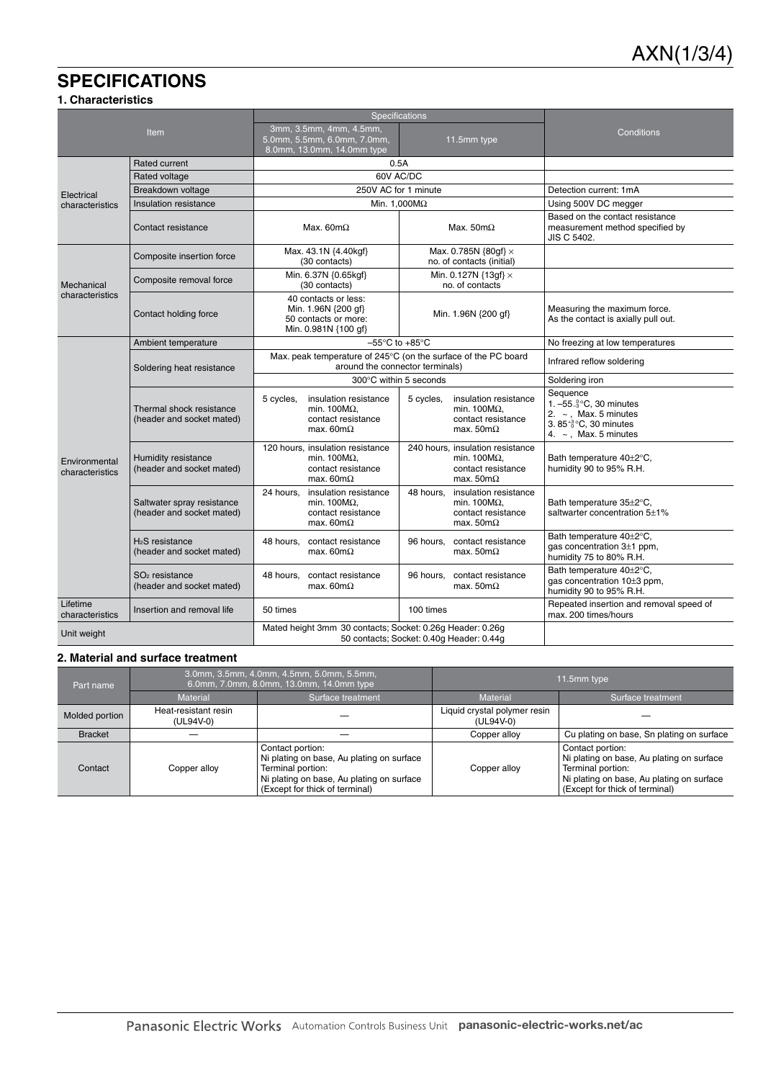## **SPECIFICATIONS**

### **1. Characteristics**

| Item                             |                                                         | <b>Specifications</b>                                                                                        |                                                                                                              |                                                                                                                                             |
|----------------------------------|---------------------------------------------------------|--------------------------------------------------------------------------------------------------------------|--------------------------------------------------------------------------------------------------------------|---------------------------------------------------------------------------------------------------------------------------------------------|
|                                  |                                                         | 3mm, 3.5mm, 4mm, 4.5mm,<br>5.0mm, 5.5mm, 6.0mm, 7.0mm,<br>11.5mm type<br>8.0mm, 13.0mm, 14.0mm type          |                                                                                                              | Conditions                                                                                                                                  |
|                                  | <b>Rated current</b>                                    | 0.5A                                                                                                         |                                                                                                              |                                                                                                                                             |
| Electrical                       | Rated voltage                                           | 60V AC/DC                                                                                                    |                                                                                                              |                                                                                                                                             |
|                                  | Breakdown voltage                                       |                                                                                                              | 250V AC for 1 minute                                                                                         | Detection current: 1mA                                                                                                                      |
| characteristics                  | Insulation resistance                                   | Min. 1.000 $M\Omega$                                                                                         |                                                                                                              | Using 500V DC megger                                                                                                                        |
|                                  | Contact resistance                                      | Max. $60m\Omega$                                                                                             | Max. $50m\Omega$                                                                                             | Based on the contact resistance<br>measurement method specified by<br>JIS C 5402.                                                           |
|                                  | Composite insertion force                               | Max. 43.1N {4.40kgf}<br>(30 contacts)                                                                        | Max. 0.785N $\{80gf\} \times$<br>no. of contacts (initial)                                                   |                                                                                                                                             |
| Mechanical                       | Composite removal force                                 | Min. 6.37N {0.65kgf}<br>(30 contacts)                                                                        | Min. 0.127N $\{13gf\} \times$<br>no. of contacts                                                             |                                                                                                                                             |
| characteristics                  | Contact holding force                                   | 40 contacts or less:<br>Min. 1.96N {200 gf}<br>50 contacts or more:<br>Min. 0.981N {100 gf}                  | Min. 1.96N {200 gf}                                                                                          | Measuring the maximum force.<br>As the contact is axially pull out.                                                                         |
|                                  | Ambient temperature                                     | $-55^{\circ}$ C to $+85^{\circ}$ C                                                                           | No freezing at low temperatures                                                                              |                                                                                                                                             |
|                                  | Soldering heat resistance                               | Max. peak temperature of 245°C (on the surface of the PC board<br>around the connector terminals)            | Infrared reflow soldering                                                                                    |                                                                                                                                             |
|                                  |                                                         | 300°C within 5 seconds                                                                                       | Soldering iron                                                                                               |                                                                                                                                             |
|                                  | Thermal shock resistance<br>(header and socket mated)   | insulation resistance<br>5 cycles,<br>min. 100 $M\Omega$ .<br>contact resistance<br>max. $60m\Omega$         | insulation resistance<br>5 cycles,<br>min. 100 $M\Omega$ ,<br>contact resistance<br>max. $50 \text{m}\Omega$ | Sequence<br>1. $-55.3^{\circ}$ C, 30 minutes<br>2. $\sim$ , Max. 5 minutes<br>3.85 $^{+3}_{0}$ °C, 30 minutes<br>4. $\sim$ , Max. 5 minutes |
| Environmental<br>characteristics | Humidity resistance<br>(header and socket mated)        | 120 hours, insulation resistance<br>min. $100M\Omega$ .<br>contact resistance<br>max. $60m\Omega$            | 240 hours, insulation resistance<br>min. 100 $M\Omega$ ,<br>contact resistance<br>max. $50 \text{m}\Omega$   | Bath temperature 40±2°C,<br>humidity 90 to 95% R.H.                                                                                         |
|                                  | Saltwater spray resistance<br>(header and socket mated) | insulation resistance<br>24 hours,<br>min. 100 $M\Omega$ .<br>contact resistance<br>max. $60 \text{m}\Omega$ | insulation resistance<br>48 hours,<br>min. 100 $M\Omega$ ,<br>contact resistance<br>max. $50 \text{m}\Omega$ | Bath temperature 35±2°C,<br>saltwarter concentration 5±1%                                                                                   |
|                                  | $H2S$ resistance<br>(header and socket mated)           | 48 hours,<br>contact resistance<br>max. $60m\Omega$                                                          | 96 hours,<br>contact resistance<br>max. $50 \text{m}\Omega$                                                  | Bath temperature 40±2°C,<br>gas concentration $3±1$ ppm,<br>humidity 75 to 80% R.H.                                                         |
|                                  | $SO2$ resistance<br>(header and socket mated)           | 48 hours, contact resistance<br>max. $60m\Omega$                                                             | 96 hours, contact resistance<br>max. $50 \text{m}\Omega$                                                     | Bath temperature 40±2°C,<br>gas concentration 10±3 ppm,<br>humidity 90 to 95% R.H.                                                          |
| Lifetime<br>characteristics      | Insertion and removal life                              | 50 times                                                                                                     | 100 times                                                                                                    | Repeated insertion and removal speed of<br>max. 200 times/hours                                                                             |
| Unit weight                      |                                                         | Mated height 3mm 30 contacts; Socket: 0.26g Header: 0.26g<br>50 contacts; Socket: 0.40g Header: 0.44g        |                                                                                                              |                                                                                                                                             |

#### **2. Material and surface treatment**

| Part name      |                                   | 3.0mm, 3.5mm, 4.0mm, 4.5mm, 5.0mm, 5.5mm,<br>6.0mm, 7.0mm, 8.0mm, 13.0mm, 14.0mm type                                                                             | 11.5mm type                               |                                                                                                                                                                   |  |
|----------------|-----------------------------------|-------------------------------------------------------------------------------------------------------------------------------------------------------------------|-------------------------------------------|-------------------------------------------------------------------------------------------------------------------------------------------------------------------|--|
|                | <b>Material</b>                   | Surface treatment                                                                                                                                                 | <b>Material</b>                           | Surface treatment                                                                                                                                                 |  |
| Molded portion | Heat-resistant resin<br>(UL94V-0) |                                                                                                                                                                   | Liquid crystal polymer resin<br>(UL94V-0) |                                                                                                                                                                   |  |
| <b>Bracket</b> |                                   |                                                                                                                                                                   | Copper alloy                              | Cu plating on base, Sn plating on surface                                                                                                                         |  |
| Contact        | Copper alloy                      | Contact portion:<br>Ni plating on base, Au plating on surface<br>Terminal portion:<br>Ni plating on base, Au plating on surface<br>(Except for thick of terminal) | Copper alloy                              | Contact portion:<br>Ni plating on base, Au plating on surface<br>Terminal portion:<br>Ni plating on base, Au plating on surface<br>(Except for thick of terminal) |  |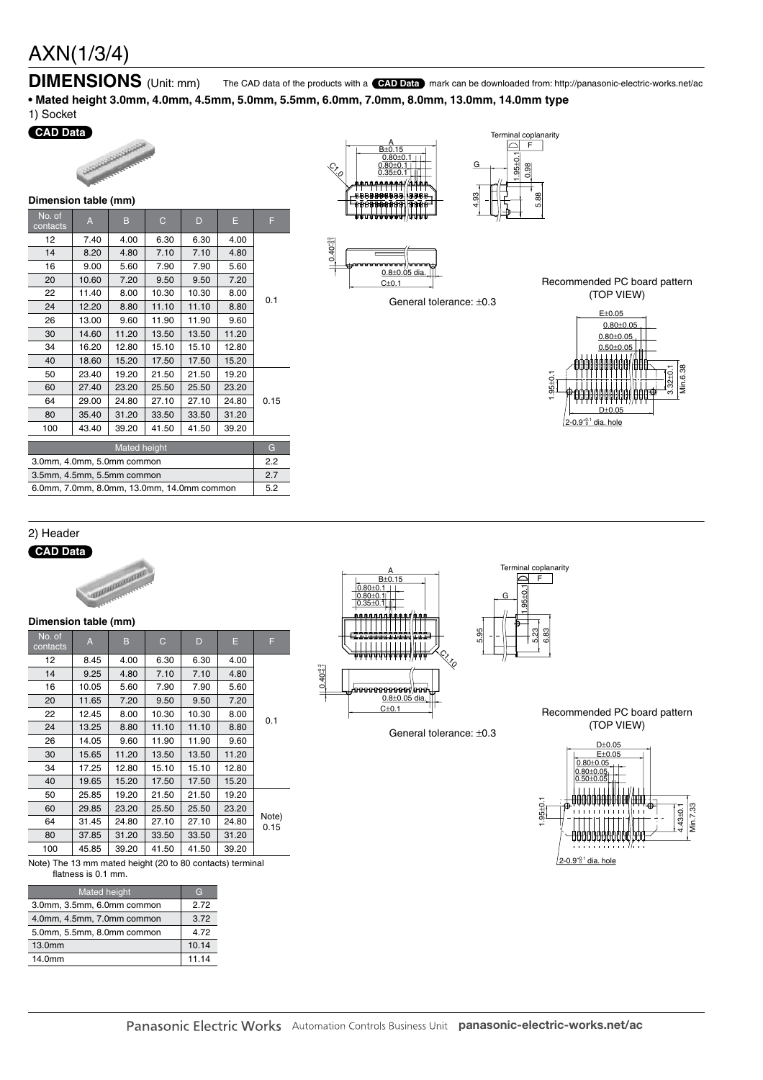### **DIMENSIONS** (Unit: mm) The CAD data of the products with a **CAD Data** mark can be downloaded from: http://panasonic-electric-works.net/ac

**• Mated height 3.0mm, 4.0mm, 4.5mm, 5.0mm, 5.5mm, 6.0mm, 7.0mm, 8.0mm, 13.0mm, 14.0mm type**

### 1) Socket

### **CAD Data**



|                                            | <b>PHILEIPION RANG (HIIII)</b> |       |              |       |       |      |  |  |
|--------------------------------------------|--------------------------------|-------|--------------|-------|-------|------|--|--|
| No. of<br>contacts                         | A                              | B     | $\mathsf{C}$ | D     | Е     | F    |  |  |
| 12                                         | 7.40                           | 4.00  | 6.30         | 6.30  | 4.00  |      |  |  |
| 14                                         | 8.20                           | 4.80  | 7.10         | 7.10  | 4.80  |      |  |  |
| 16                                         | 9.00                           | 5.60  | 7.90         | 7.90  | 5.60  |      |  |  |
| 20                                         | 10.60                          | 7.20  | 9.50         | 9.50  | 7.20  |      |  |  |
| 22                                         | 11.40                          | 8.00  | 10.30        | 10.30 | 8.00  | 0.1  |  |  |
| 24                                         | 12.20                          | 8.80  | 11.10        | 11.10 | 8.80  |      |  |  |
| 26                                         | 13.00                          | 9.60  | 11.90        | 11.90 | 9.60  |      |  |  |
| 30                                         | 14.60                          | 11.20 | 13.50        | 13.50 | 11.20 |      |  |  |
| 34                                         | 16.20                          | 12.80 | 15.10        | 15.10 | 12.80 |      |  |  |
| 40                                         | 18.60                          | 15.20 | 17.50        | 17.50 | 15.20 |      |  |  |
| 50                                         | 23.40                          | 19.20 | 21.50        | 21.50 | 19.20 |      |  |  |
| 60                                         | 27.40                          | 23.20 | 25.50        | 25.50 | 23.20 |      |  |  |
| 64                                         | 29.00                          | 24.80 | 27.10        | 27.10 | 24.80 | 0.15 |  |  |
| 80                                         | 35.40                          | 31.20 | 33.50        | 33.50 | 31.20 |      |  |  |
| 100                                        | 43.40                          | 39.20 | 41.50        | 41.50 | 39.20 |      |  |  |
|                                            |                                |       |              |       |       |      |  |  |
| Mated height                               |                                |       |              |       |       | G    |  |  |
| 3.0mm, 4.0mm, 5.0mm common                 |                                |       |              |       |       | 2.2  |  |  |
| 3.5mm, 4.5mm, 5.5mm common                 |                                |       |              |       |       |      |  |  |
| 6.0mm, 7.0mm, 8.0mm, 13.0mm, 14.0mm common |                                |       |              |       |       |      |  |  |





General tolerance: ±0.3



5.88

1.95±0.1 0.98

习

Terminal coplanarity  $F$ 

G

4.93



#### 2) Header





| No. of<br>contacts | $\overline{A}$ | B     | C     | D     | Е     | F             |  |
|--------------------|----------------|-------|-------|-------|-------|---------------|--|
| 12                 | 8.45           | 4.00  | 6.30  | 6.30  | 4.00  |               |  |
| 14                 | 9.25           | 4.80  | 7.10  | 7.10  | 4.80  |               |  |
| 16                 | 10.05          | 5.60  | 7.90  | 7.90  | 5.60  |               |  |
| 20                 | 11.65          | 7.20  | 9.50  | 9.50  | 7.20  |               |  |
| 22                 | 12.45          | 8.00  | 10.30 | 10.30 | 8.00  | 0.1           |  |
| 24                 | 13.25          | 8.80  | 11.10 | 11.10 | 8.80  |               |  |
| 26                 | 14.05          | 9.60  | 11.90 | 11.90 | 9.60  |               |  |
| 30                 | 15.65          | 11.20 | 13.50 | 13.50 | 11.20 |               |  |
| 34                 | 17.25          | 12.80 | 15.10 | 15.10 | 12.80 |               |  |
| 40                 | 19.65          | 15.20 | 17.50 | 17.50 | 15.20 |               |  |
| 50                 | 25.85          | 19.20 | 21.50 | 21.50 | 19.20 |               |  |
| 60                 | 29.85          | 23.20 | 25.50 | 25.50 | 23.20 |               |  |
| 64                 | 31.45          | 24.80 | 27.10 | 27.10 | 24.80 | Note)<br>0.15 |  |
| 80                 | 37.85          | 31.20 | 33.50 | 33.50 | 31.20 |               |  |
| 100                | 45.85          | 39.20 | 41.50 | 41.50 | 39.20 |               |  |
|                    |                |       |       |       |       |               |  |

Note) The 13 mm mated height (20 to 80 contacts) terminal flatness is 0.1 mm.

| <b>Mated</b> height        | G     |
|----------------------------|-------|
| 3.0mm, 3.5mm, 6.0mm common | 2 72  |
| 4.0mm, 4.5mm, 7.0mm common | 3.72  |
| 5.0mm, 5.5mm, 8.0mm common | 4.72  |
| 13.0mm                     | 10.14 |
| 14.0mm                     | 11.14 |



A

General tolerance: ±0.3



Terminal coplanarity  $\overline{F}$ 

╗

Recommended PC board pattern (TOP VIEW)

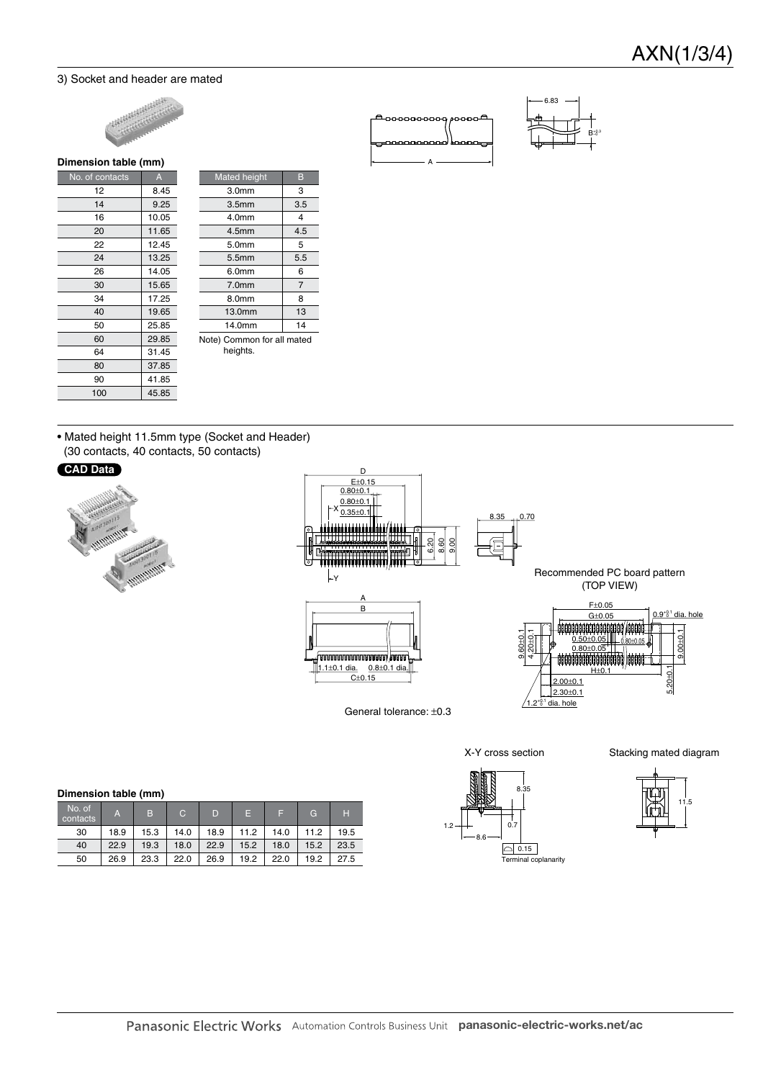$B_{-0.3}^{+0.3}$ –0

6.83

#### 3) Socket and header are mated



### **Dimension table (mm)**

| No. of contacts | A     |  |
|-----------------|-------|--|
| 12              | 8.45  |  |
| 14              | 9.25  |  |
| 16              | 10.05 |  |
| 20              | 11.65 |  |
| 22              | 12.45 |  |
| 24              | 13.25 |  |
| 26              | 14.05 |  |
| 30              | 15.65 |  |
| 34              | 17.25 |  |
| 40              | 19.65 |  |
| 50              | 25.85 |  |
| 60              | 29.85 |  |
| 64              | 31.45 |  |
| 80              | 37.85 |  |
| 90              | 41.85 |  |
| 100             | 45.85 |  |

| Mated height                           | B   |  |  |
|----------------------------------------|-----|--|--|
| 3.0 <sub>mm</sub>                      | 3   |  |  |
| 3.5 <sub>mm</sub>                      | 3.5 |  |  |
| 4.0mm                                  | 4   |  |  |
| 4.5 <sub>mm</sub>                      | 4.5 |  |  |
| 5.0 <sub>mm</sub>                      | 5   |  |  |
| 5.5 <sub>mm</sub>                      | 5.5 |  |  |
| 6.0mm                                  | 6   |  |  |
| 7.0 <sub>mm</sub>                      | 7   |  |  |
| 8.0mm                                  | 8   |  |  |
| 13.0mm                                 | 13  |  |  |
| 14.0mm                                 | 14  |  |  |
| Note) Common for all mated<br>heights. |     |  |  |

• Mated height 11.5mm type (Socket and Header) (30 contacts, 40 contacts, 50 contacts)

#### **CAD Data**





General tolerance: ±0.3

A

00000000

---

X-Y cross section Stacking mated diagram

|   |  | 11.5 |
|---|--|------|
| н |  |      |

#### **Dimension table (mm)**

| No. of<br>contacts | A    | B    | C.   | D    | E    | е    | G    | н    |
|--------------------|------|------|------|------|------|------|------|------|
| 30                 | 18.9 | 15.3 | 14.0 | 18.9 | 11.2 | 14.0 | 11.2 | 19.5 |
| 40                 | 22.9 | 19.3 | 18.0 | 22.9 | 15.2 | 18.0 | 15.2 | 23.5 |
| 50                 | 26.9 | 23.3 | 22.0 | 26.9 | 19.2 | 22.0 | 19.2 | 27.5 |

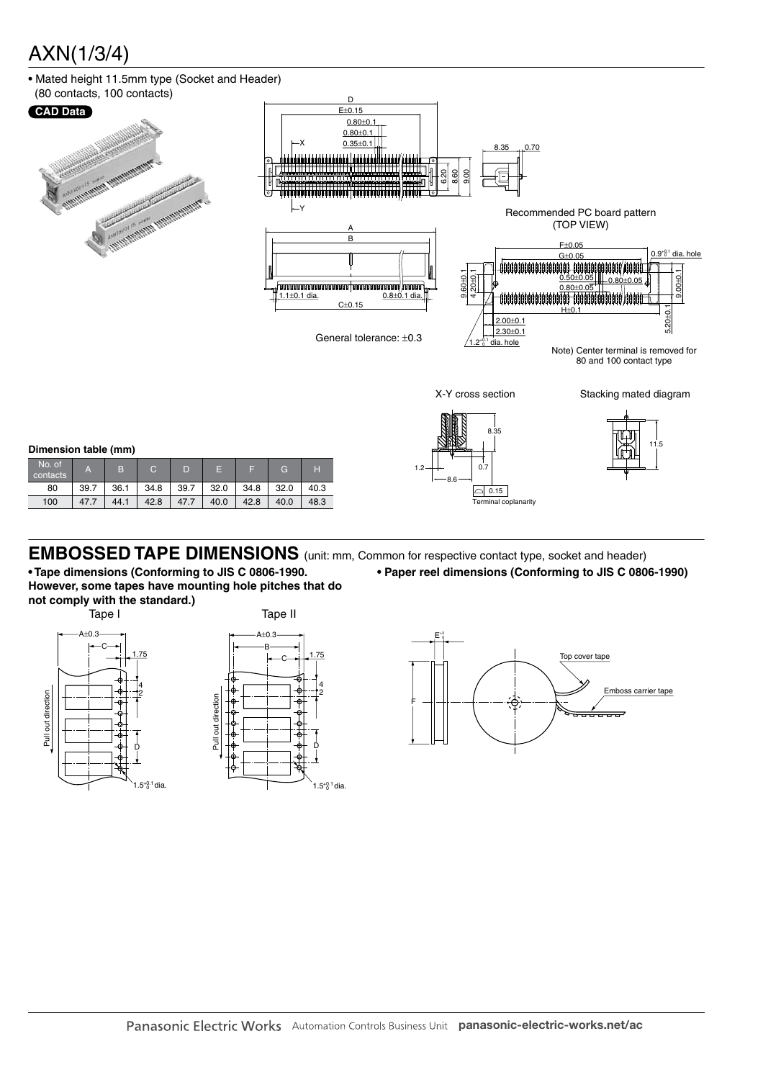• Mated height 11.5mm type (Socket and Header)



**EMBOSSED TAPE DIMENSIONS** (unit: mm, Common for respective contact type, socket and header)

**• Tape dimensions (Conforming to JIS C 0806-1990. However, some tapes have mounting hole pitches that do not comply with the standard.)**

Pull out direction

Pull out direction

100 47.7 44.1 42.8 47.7 40.0 42.8 40.0 48.3





**• Paper reel dimensions (Conforming to JIS C 0806-1990)**

Terminal con



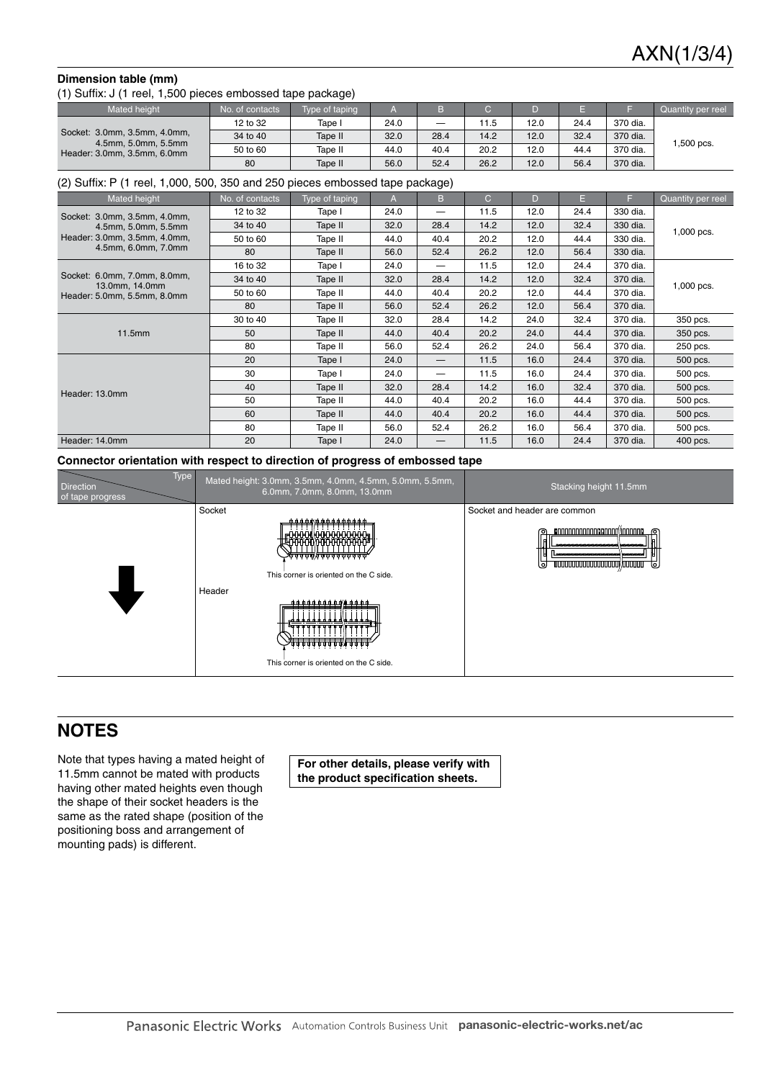#### **Dimension table (mm)**

(1) Suffix: J (1 reel, 1,500 pieces embossed tape package)

| <b>Mated height</b>                                | No. of contacts | Type of taping |      |                          |      |      |      |          | Quantity per reel |
|----------------------------------------------------|-----------------|----------------|------|--------------------------|------|------|------|----------|-------------------|
| Socket: 3.0mm, 3.5mm, 4.0mm,                       | 12 to 32        | Tape i         | 24.0 | $\overline{\phantom{0}}$ | 11.5 | 12.0 | 24.4 | 370 dia. | ,500 pcs.         |
|                                                    | 34 to 40        | Tape II        | 32.0 | 28.4                     | 14.2 | 12.0 | 32.4 | 370 dia. |                   |
| 4.5mm, 5.0mm, 5.5mm<br>Header: 3.0mm, 3.5mm, 6.0mm | 50 to 60        | Tape II        | 44.0 | 40.4                     | 20.2 | 12.0 | 44.4 | 370 dia. |                   |
|                                                    | 80              | Tape II        | 56.0 | 52.4                     | 26.2 | 12.0 | 56.4 | 370 dia. |                   |

(2) Suffix: P (1 reel, 1,000, 500, 350 and 250 pieces embossed tape package)

| <b>Mated height</b>                                                                                        | No. of contacts | Type of taping | A    | B    | $\mathsf{C}$ | D    | E    | F.       | Quantity per reel |
|------------------------------------------------------------------------------------------------------------|-----------------|----------------|------|------|--------------|------|------|----------|-------------------|
| Socket: 3.0mm, 3.5mm, 4.0mm,<br>4.5mm, 5.0mm, 5.5mm<br>Header: 3.0mm, 3.5mm, 4.0mm,<br>4.5mm, 6.0mm, 7.0mm | 12 to 32        | Tape I         | 24.0 |      | 11.5         | 12.0 | 24.4 | 330 dia. | 1,000 pcs.        |
|                                                                                                            | 34 to 40        | Tape II        | 32.0 | 28.4 | 14.2         | 12.0 | 32.4 | 330 dia. |                   |
|                                                                                                            | 50 to 60        | Tape II        | 44.0 | 40.4 | 20.2         | 12.0 | 44.4 | 330 dia. |                   |
|                                                                                                            | 80              | Tape II        | 56.0 | 52.4 | 26.2         | 12.0 | 56.4 | 330 dia. |                   |
| Socket: 6.0mm, 7.0mm, 8.0mm,<br>13.0mm, 14.0mm<br>Header: 5.0mm, 5.5mm, 8.0mm                              | 16 to 32        | Tape I         | 24.0 | —    | 11.5         | 12.0 | 24.4 | 370 dia. | 1,000 pcs.        |
|                                                                                                            | 34 to 40        | Tape II        | 32.0 | 28.4 | 14.2         | 12.0 | 32.4 | 370 dia. |                   |
|                                                                                                            | 50 to 60        | Tape II        | 44.0 | 40.4 | 20.2         | 12.0 | 44.4 | 370 dia. |                   |
|                                                                                                            | 80              | Tape II        | 56.0 | 52.4 | 26.2         | 12.0 | 56.4 | 370 dia. |                   |
| 11.5mm                                                                                                     | 30 to 40        | Tape II        | 32.0 | 28.4 | 14.2         | 24.0 | 32.4 | 370 dia. | 350 pcs.          |
|                                                                                                            | 50              | Tape II        | 44.0 | 40.4 | 20.2         | 24.0 | 44.4 | 370 dia. | 350 pcs.          |
|                                                                                                            | 80              | Tape II        | 56.0 | 52.4 | 26.2         | 24.0 | 56.4 | 370 dia. | 250 pcs.          |
|                                                                                                            | 20              | Tape I         | 24.0 | —    | 11.5         | 16.0 | 24.4 | 370 dia. | 500 pcs.          |
|                                                                                                            | 30              | Tape I         | 24.0 | —    | 11.5         | 16.0 | 24.4 | 370 dia. | 500 pcs.          |
| Header: 13.0mm                                                                                             | 40              | Tape II        | 32.0 | 28.4 | 14.2         | 16.0 | 32.4 | 370 dia. | 500 pcs.          |
|                                                                                                            | 50              | Tape II        | 44.0 | 40.4 | 20.2         | 16.0 | 44.4 | 370 dia. | 500 pcs.          |
|                                                                                                            | 60              | Tape II        | 44.0 | 40.4 | 20.2         | 16.0 | 44.4 | 370 dia. | 500 pcs.          |
|                                                                                                            | 80              | Tape II        | 56.0 | 52.4 | 26.2         | 16.0 | 56.4 | 370 dia. | 500 pcs.          |
| Header: 14.0mm                                                                                             | 20              | Tape I         | 24.0 | –    | 11.5         | 16.0 | 24.4 | 370 dia. | 400 pcs.          |

**Connector orientation with respect to direction of progress of embossed tape**



### **NOTES**

Note that types having a mated height of 11.5mm cannot be mated with products having other mated heights even though the shape of their socket headers is the same as the rated shape (position of the positioning boss and arrangement of mounting pads) is different.

**For other details, please verify with the product specification sheets.**